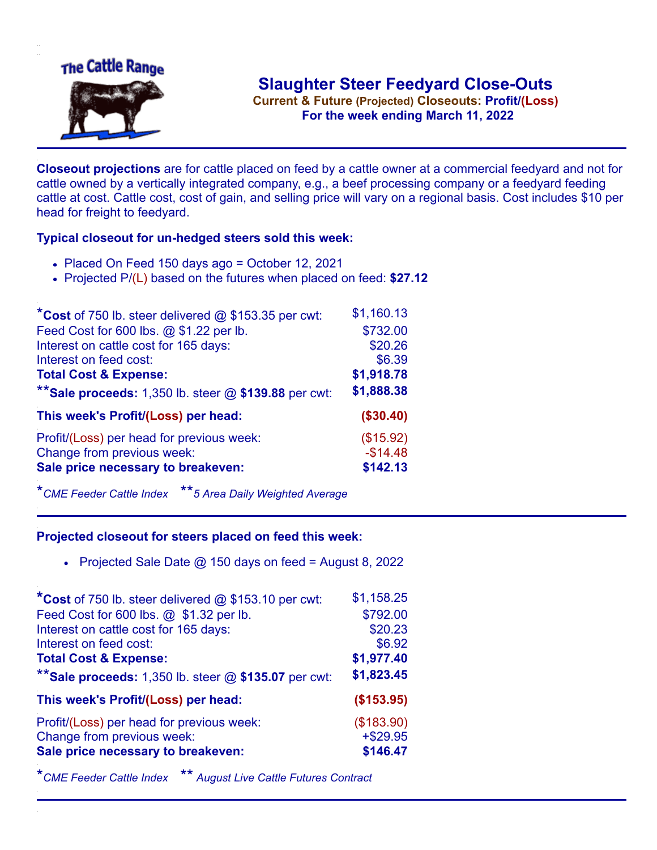

**Current & Future (Projected) Closeouts: Profit/(Loss)** .**For the week ending March 11, 2022**

**Closeout projections** are for cattle placed on feed by a cattle owner at a commercial feedyard and not for cattle owned by a vertically integrated company, e.g., a beef processing company or a feedyard feeding cattle at cost. Cattle cost, cost of gain, and selling price will vary on a regional basis. Cost includes \$10 per head for freight to feedyard.

## **Typical closeout for un-hedged steers sold this week:**

- Placed On Feed 150 days ago = October 12, 2021
- Projected P/(L) based on the futures when placed on feed: **\$27.12**

| *Cost of 750 lb. steer delivered $@$ \$153.35 per cwt:  | \$1,160.13 |
|---------------------------------------------------------|------------|
| Feed Cost for 600 lbs. @ \$1.22 per lb.                 | \$732.00   |
| Interest on cattle cost for 165 days:                   | \$20.26    |
| Interest on feed cost:                                  | \$6.39     |
| <b>Total Cost &amp; Expense:</b>                        | \$1,918.78 |
| ** Sale proceeds: 1,350 lb. steer $@$ \$139.88 per cwt: | \$1,888.38 |
| This week's Profit/(Loss) per head:                     | (\$30.40)  |
| Profit/(Loss) per head for previous week:               | (\$15.92)  |
| Change from previous week:                              | $-$14.48$  |
| Sale price necessary to breakeven:                      | \$142.13   |

\**CME Feeder Cattle Index* \*\**5 Area Daily Weighted Average*

## **Projected closeout for steers placed on feed this week:**

Projected Sale Date  $@$  150 days on feed = August 8, 2022

| *Cost of 750 lb. steer delivered @ \$153.10 per cwt:    | \$1,158.25  |
|---------------------------------------------------------|-------------|
| Feed Cost for 600 lbs. @ \$1.32 per lb.                 | \$792.00    |
| Interest on cattle cost for 165 days:                   | \$20.23     |
| Interest on feed cost:                                  | \$6.92      |
| <b>Total Cost &amp; Expense:</b>                        | \$1,977.40  |
| ** Sale proceeds: 1,350 lb. steer $@$ \$135.07 per cwt: | \$1,823.45  |
| This week's Profit/(Loss) per head:                     | (\$153.95)  |
| Profit/(Loss) per head for previous week:               | (\$183.90)  |
| Change from previous week:                              | $+$ \$29.95 |
| Sale price necessary to breakeven:                      | \$146.47    |

\**CME Feeder Cattle Index* \*\* *August Live Cattle Futures Contract*